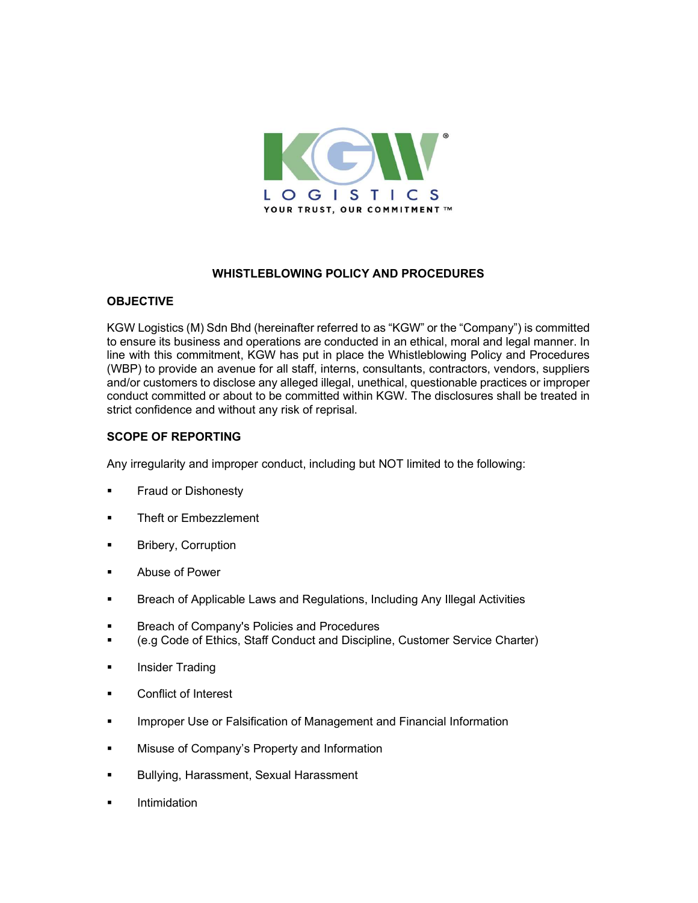

## WHISTLEBLOWING POLICY AND PROCEDURES

## **OBJECTIVE**

KGW Logistics (M) Sdn Bhd (hereinafter referred to as "KGW" or the "Company") is committed to ensure its business and operations are conducted in an ethical, moral and legal manner. In line with this commitment, KGW has put in place the Whistleblowing Policy and Procedures (WBP) to provide an avenue for all staff, interns, consultants, contractors, vendors, suppliers and/or customers to disclose any alleged illegal, unethical, questionable practices or improper conduct committed or about to be committed within KGW. The disclosures shall be treated in strict confidence and without any risk of reprisal.

## SCOPE OF REPORTING

Any irregularity and improper conduct, including but NOT limited to the following:

- Fraud or Dishonesty
- Theft or Embezzlement
- Bribery, Corruption
- Abuse of Power
- Breach of Applicable Laws and Regulations, Including Any Illegal Activities
- Breach of Company's Policies and Procedures
- (e.g Code of Ethics, Staff Conduct and Discipline, Customer Service Charter)
- **Insider Trading**
- **EXECONFLICT OF Interest**
- **IMPROPER USE OF Falsification of Management and Financial Information**
- **Misuse of Company's Property and Information**
- **Bullying, Harassment, Sexual Harassment**
- **Intimidation**